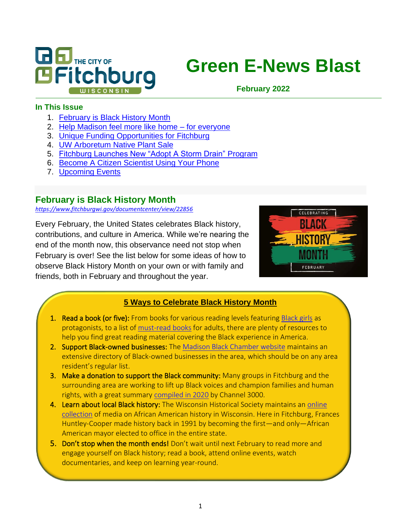

# **Green E-News Blast**

**February 2022**

#### **In This Issue**

- 1. [February is Black History Month](#page-0-0)
- 2. [Help Madison feel more like home –](#page-1-0) for everyone
- 3. [Unique Funding Opportunities for Fitchburg](#page-1-1)
- 4. [UW Arboretum Native Plant Sale](#page-2-0)
- 5. [Fitchburg Launches New "Adopt A Storm Drain" Program](#page-3-0)
- 6. [Become A Citizen Scientist Using Your Phone](#page-4-0)
- 7. [Upcoming Events](#page-5-0)

## <span id="page-0-0"></span>**February is Black History Month**

*<https://www.fitchburgwi.gov/documentcenter/view/22856>*

Every February, the United States celebrates Black history, contributions, and culture in America. While we're nearing the end of the month now, this observance need not stop when February is over! See the list below for some ideas of how to observe Black History Month on your own or with family and friends, both in February and throughout the year.



#### **5 Ways to Celebrate Black History Month**

- 1. Read a book (or five): From books for various reading levels featurin[g Black girls](https://grassrootscommunityfoundation.org/1000-black-girl-books-resource-guide/) as protagonists, to a list of [must-read books](https://elifnotes.com/books-for-black-history-month/) for adults, there are plenty of resources to help you find great reading material covering the Black experience in America.
- 2. Support Black-owned businesses: Th[e Madison Black Chamber website](https://www.madisonblackchamber.com/) maintains an extensive directory of Black-owned businesses in the area, which should be on any area resident's regular list.
- 3. Make a donation to support the Black community: Many groups in Fitchburg and the surrounding area are working to lift up Black voices and champion families and human rights, with a great summary [compiled in 2020](https://www.channel3000.com/15-madison-based-organizations-that-focus-on-black-empowerment/) by Channel 3000.
- 4. Learn about local Black history: The Wisconsin Historical Society maintains an online [collection](https://www.wisconsinhistory.org/blackhistory) of media on African American history in Wisconsin. Here in Fitchburg, Frances Huntley-Cooper made history back in 1991 by becoming the first—and only—African American mayor elected to office in the entire state.
- 5. Don't stop when the month ends! Don't wait until next February to read more and engage yourself on Black history; read a book, attend online events, watch documentaries, and keep on learning year-round.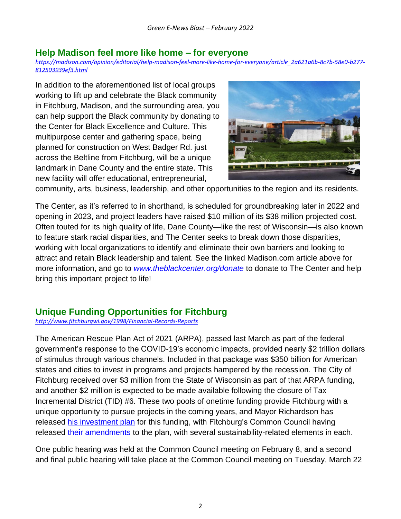#### <span id="page-1-0"></span>**Help Madison feel more like home – for everyone**

*[https://madison.com/opinion/editorial/help-madison-feel-more-like-home-for-everyone/article\\_2a621a6b-8c7b-58e0-b277-](https://madison.com/opinion/editorial/help-madison-feel-more-like-home-for-everyone/article_2a621a6b-8c7b-58e0-b277-812503939ef3.html) [812503939ef3.html](https://madison.com/opinion/editorial/help-madison-feel-more-like-home-for-everyone/article_2a621a6b-8c7b-58e0-b277-812503939ef3.html)*

In addition to the aforementioned list of local groups working to lift up and celebrate the Black community in Fitchburg, Madison, and the surrounding area, you can help support the Black community by donating to the Center for Black Excellence and Culture. This multipurpose center and gathering space, being planned for construction on West Badger Rd. just across the Beltline from Fitchburg, will be a unique landmark in Dane County and the entire state. This new facility will offer educational, entrepreneurial,



community, arts, business, leadership, and other opportunities to the region and its residents.

The Center, as it's referred to in shorthand, is scheduled for groundbreaking later in 2022 and opening in 2023, and project leaders have raised \$10 million of its \$38 million projected cost. Often touted for its high quality of life, Dane County—like the rest of Wisconsin—is also known to feature stark racial disparities, and The Center seeks to break down those disparities, working with local organizations to identify and eliminate their own barriers and looking to attract and retain Black leadership and talent. See the linked Madison.com article above for more information, and go to *[www.theblackcenter.org/donate](http://www.theblackcenter.org/donate)* to donate to The Center and help bring this important project to life!

## <span id="page-1-1"></span>**Unique Funding Opportunities for Fitchburg**

*<http://www.fitchburgwi.gov/1998/Financial-Records-Reports>*

The American Rescue Plan Act of 2021 (ARPA), passed last March as part of the federal government's response to the COVID-19's economic impacts, provided nearly \$2 trillion dollars of stimulus through various channels. Included in that package was \$350 billion for American states and cities to invest in programs and projects hampered by the recession. The City of Fitchburg received over \$3 million from the State of Wisconsin as part of that ARPA funding, and another \$2 million is expected to be made available following the closure of Tax Incremental District (TID) #6. These two pools of onetime funding provide Fitchburg with a unique opportunity to pursue projects in the coming years, and Mayor Richardson has released [his investment plan](http://www.fitchburgwi.gov/DocumentCenter/View/22826/Mayors-Proposed-ARPATID-Closure-Investment-Plan-2022) for this funding, with Fitchburg's Common Council having released [their amendments](http://www.fitchburgwi.gov/DocumentCenter/View/22897/Council-Proposed-Amendments-to-the-ARPA-TID-Closure-Investment-Plan) to the plan, with several sustainability-related elements in each.

One public hearing was held at the Common Council meeting on February 8, and a second and final public hearing will take place at the Common Council meeting on Tuesday, March 22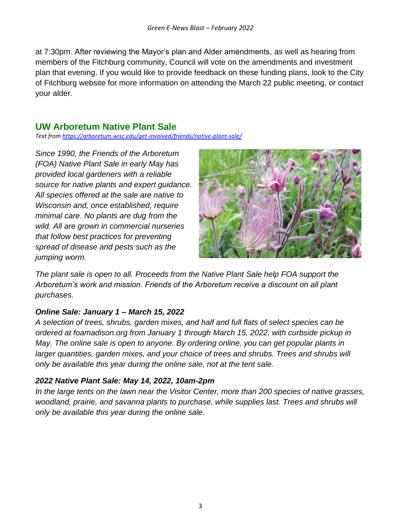at 7:30pm. After reviewing the Mayor's plan and Alder amendments, as well as hearing from members of the Fitchburg community, Council will vote on the amendments and investment plan that evening. If you would like to provide feedback on these funding plans, look to the City of Fitchburg website for more information on attending the March 22 public meeting, or contact your alder.

# <span id="page-2-0"></span>**UW Arboretum Native Plant Sale**

*Text from https://arboretum.wisc.edu/get-involved/friends/native-plant-sale/*

*Since 1990, the Friends of the Arboretum (FOA) Native Plant Sale in early May has provided local gardeners with a reliable source for native plants and expert guidance. All species offered at the sale are native to Wisconsin and, once established, require minimal care. No plants are dug from the wild. All are grown in commercial nurseries that follow best practices for preventing spread of disease and pests such as the jumping worm.*



*The plant sale is open to all. Proceeds from the Native Plant Sale help FOA support the Arboretum's work and mission. Friends of the Arboretum receive a discount on all plant purchases.*

#### *Online Sale: January 1 – March 15, 2022*

*A selection of trees, shrubs, garden mixes, and half and full flats of select species can be ordered at foamadison.org from January 1 through March 15, 2022, with curbside pickup in May. The online sale is open to anyone. By ordering online, you can get popular plants in larger quantities, garden mixes, and your choice of trees and shrubs. Trees and shrubs will only be available this year during the online sale, not at the tent sale.*

#### *2022 Native Plant Sale: May 14, 2022, 10am-2pm*

*In the large tents on the lawn near the Visitor Center, more than 200 species of native grasses, woodland, prairie, and savanna plants to purchase, while supplies last. Trees and shrubs will only be available this year during the online sale.*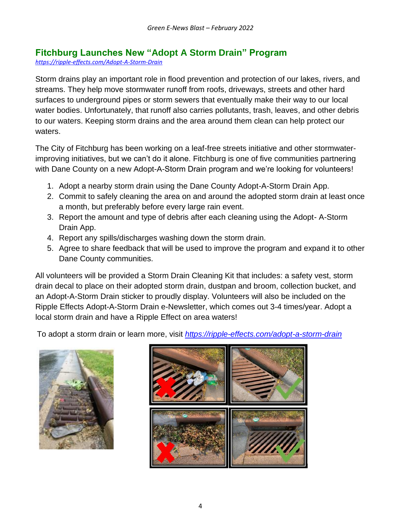# <span id="page-3-0"></span>**Fitchburg Launches New "Adopt A Storm Drain" Program**

*<https://ripple-effects.com/Adopt-A-Storm-Drain>*

Storm drains play an important role in flood prevention and protection of our lakes, rivers, and streams. They help move stormwater runoff from roofs, driveways, streets and other hard surfaces to underground pipes or storm sewers that eventually make their way to our local water bodies. Unfortunately, that runoff also carries pollutants, trash, leaves, and other debris to our waters. Keeping storm drains and the area around them clean can help protect our waters.

The City of Fitchburg has been working on a leaf-free streets initiative and other stormwaterimproving initiatives, but we can't do it alone. Fitchburg is one of five communities partnering with Dane County on a new Adopt-A-Storm Drain program and we're looking for volunteers!

- 1. Adopt a nearby storm drain using the Dane County Adopt-A-Storm Drain App.
- 2. Commit to safely cleaning the area on and around the adopted storm drain at least once a month, but preferably before every large rain event.
- 3. Report the amount and type of debris after each cleaning using the Adopt- A-Storm Drain App.
- 4. Report any spills/discharges washing down the storm drain.
- 5. Agree to share feedback that will be used to improve the program and expand it to other Dane County communities.

All volunteers will be provided a Storm Drain Cleaning Kit that includes: a safety vest, storm drain decal to place on their adopted storm drain, dustpan and broom, collection bucket, and an Adopt-A-Storm Drain sticker to proudly display. Volunteers will also be included on the Ripple Effects Adopt-A-Storm Drain e-Newsletter, which comes out 3-4 times/year. Adopt a local storm drain and have a Ripple Effect on area waters!

To adopt a storm drain or learn more, visit *<https://ripple-effects.com/adopt-a-storm-drain>*



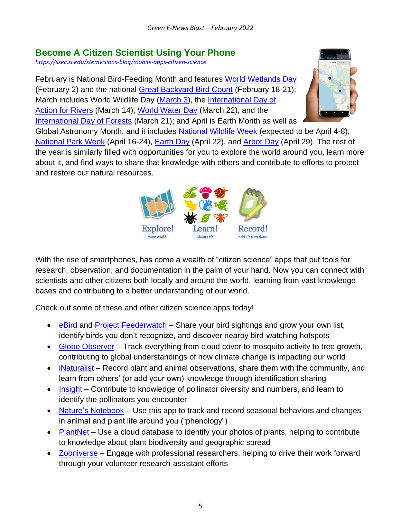# **Become A Citizen Scientist Using Your Phone**

<span id="page-4-0"></span>*<https://ssec.si.edu/stemvisions-blog/mobile-apps-citizen-science>*

February is National Bird-Feeding Month and features [World Wetlands Day](https://www.worldwetlandsday.org/) (February 2) and the national [Great Backyard Bird Count](https://www.birdcount.org/) (February 18-21); March includes World Wildlife Day [\(March 3\)](https://wildlifeday.org/), the International Day of [Action for Rivers](https://www.internationalrivers.org/take-action/international-day-of-action-for-rivers/) (March 14), [World Water Day](https://www.worldwaterday.org/) (March 22), and the [International Day of Forests](https://www.un.org/en/observances/forests-and-trees-day) (March 21); and April is Earth Month as well as



Global Astronomy Month, and it includes [National Wildlife Week](https://nationalwildlifeweek.nwf.org/) (expected to be April 4-8), [National Park Week](https://www.nps.gov/subjects/npscelebrates/national-park-week.htm) (April 16-24), [Earth Day](https://www.earthday.org/) (April 22), and [Arbor Day](https://www.arborday.org/) (April 29). The rest of the year is similarly filled with opportunities for you to explore the world around you, learn more about it, and find ways to share that knowledge with others and contribute to efforts to protect and restore our natural resources.



With the rise of smartphones, has come a wealth of "citizen science" apps that put tools for research, observation, and documentation in the palm of your hand. Now you can connect with scientists and other citizens both locally and around the world, learning from vast knowledge bases and contributing to a better understanding of our world.

Check out some of these and other citizen science apps today!

- [eBird](https://ebird.org/home) and [Project Feederwatch](https://feederwatch.org/) Share your bird sightings and grow your own list, identify birds you don't recognize, and discover nearby bird-watching hotspots
- [Globe Observer](https://observer.globe.gov/) Track everything from cloud cover to mosquito activity to tree growth, contributing to global understandings of how climate change is impacting our world
- *[iNaturalist](https://www.inaturalist.org/)* Record plant and animal observations, share them with the community, and learn from others' (or add your own) knowledge through identification sharing
- [Insight](https://insightcitizenscience.com/) Contribute to knowledge of pollinator diversity and numbers, and learn to identify the pollinators you encounter
- [Nature's Notebook](https://appadvice.com/app/natures-notebook/1463430668) Use this app to track and record seasonal behaviors and changes in animal and plant life around you ("phenology")
- [PlantNet](https://plantnet.org/en/) Use a cloud database to identify your photos of plants, helping to contribute to knowledge about plant biodiversity and geographic spread
- [Zooniverse](https://www.zooniverse.org/) Engage with professional researchers, helping to drive their work forward through your volunteer research-assistant efforts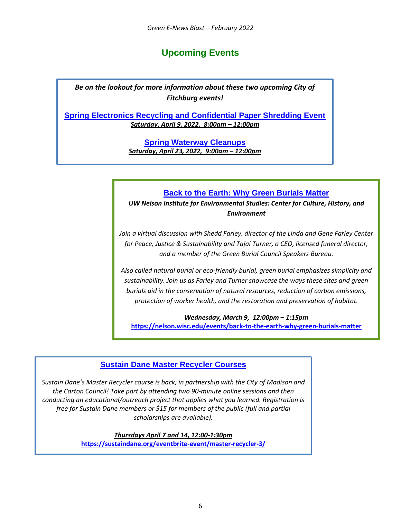# **Upcoming Events**

<span id="page-5-0"></span>*Be on the lookout for more information about these two upcoming City of Fitchburg events!*

**Spring Electronics Recycling and Confidential Paper Shredding Event** *Saturday, April 9, 2022, 8:00am – 12:00pm*

> **Spring Waterway Cleanups** *Saturday, April 23, 2022, 9:00am – 12:00pm*

#### **Back to the Earth: Why Green Burials Matter**

*UW Nelson Institute for Environmental Studies: Center for Culture, History, and Environment*

*Join a virtual discussion with Shedd Farley, director of the Linda and Gene Farley Center for Peace, Justice & Sustainability and Tajai Turner, a CEO, licensed funeral director, and a member of the Green Burial Council Speakers Bureau.*

*Also called natural burial or eco-friendly burial, green burial emphasizes simplicity and sustainability. Join us as Farley and Turner showcase the ways these sites and green burials aid in the conservation of natural resources, reduction of carbon emissions, protection of worker health, and the restoration and preservation of habitat.*

*Wednesday, March 9, 12:00pm – 1:15pm* **[https://nelson.wisc.edu/events/back-to-the-earth-why-green-burials-matter](https://nelson.wisc.edu/events/back-to-the-earth-why-green-burials-matter/)**

#### **Sustain Dane Master Recycler Courses**

*Sustain Dane's Master Recycler course is back, in partnership with the City of Madison and the Carton Council! Take part by attending two 90-minute online sessions and then conducting an educational/outreach project that applies what you learned. Registration is free for Sustain Dane members or \$15 for members of the public (full and partial scholarships are available).*

> *Thursdays April 7 and 14, 12:00-1:30pm* **<https://sustaindane.org/eventbrite-event/master-recycler-3/>**